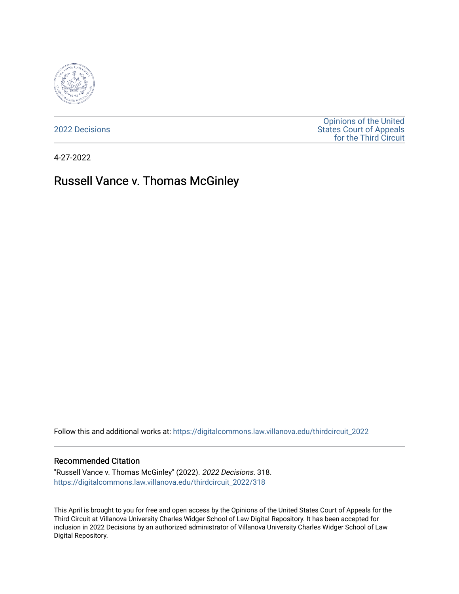

[2022 Decisions](https://digitalcommons.law.villanova.edu/thirdcircuit_2022)

[Opinions of the United](https://digitalcommons.law.villanova.edu/thirdcircuit)  [States Court of Appeals](https://digitalcommons.law.villanova.edu/thirdcircuit)  [for the Third Circuit](https://digitalcommons.law.villanova.edu/thirdcircuit) 

4-27-2022

# Russell Vance v. Thomas McGinley

Follow this and additional works at: [https://digitalcommons.law.villanova.edu/thirdcircuit\\_2022](https://digitalcommons.law.villanova.edu/thirdcircuit_2022?utm_source=digitalcommons.law.villanova.edu%2Fthirdcircuit_2022%2F318&utm_medium=PDF&utm_campaign=PDFCoverPages) 

#### Recommended Citation

"Russell Vance v. Thomas McGinley" (2022). 2022 Decisions. 318. [https://digitalcommons.law.villanova.edu/thirdcircuit\\_2022/318](https://digitalcommons.law.villanova.edu/thirdcircuit_2022/318?utm_source=digitalcommons.law.villanova.edu%2Fthirdcircuit_2022%2F318&utm_medium=PDF&utm_campaign=PDFCoverPages)

This April is brought to you for free and open access by the Opinions of the United States Court of Appeals for the Third Circuit at Villanova University Charles Widger School of Law Digital Repository. It has been accepted for inclusion in 2022 Decisions by an authorized administrator of Villanova University Charles Widger School of Law Digital Repository.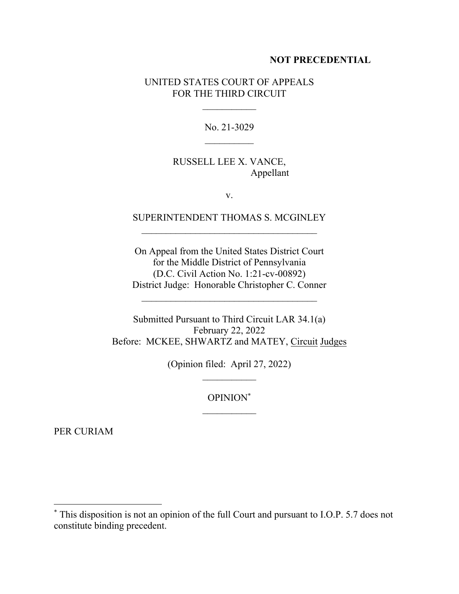### **NOT PRECEDENTIAL**

## UNITED STATES COURT OF APPEALS FOR THE THIRD CIRCUIT

No. 21-3029  $\mathcal{L}_\text{max}$ 

## RUSSELL LEE X. VANCE, Appellant

v.

# SUPERINTENDENT THOMAS S. MCGINLEY

On Appeal from the United States District Court for the Middle District of Pennsylvania (D.C. Civil Action No. 1:21-cv-00892) District Judge: Honorable Christopher C. Conner

Submitted Pursuant to Third Circuit LAR 34.1(a) February 22, 2022 Before: MCKEE, SHWARTZ and MATEY, Circuit Judges

(Opinion filed: April 27, 2022)

OPINION\*

PER CURIAM

<sup>\*</sup> This disposition is not an opinion of the full Court and pursuant to I.O.P. 5.7 does not constitute binding precedent.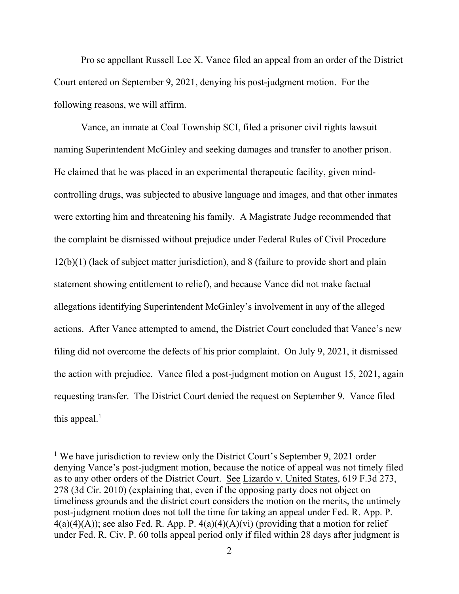Pro se appellant Russell Lee X. Vance filed an appeal from an order of the District Court entered on September 9, 2021, denying his post-judgment motion. For the following reasons, we will affirm.

Vance, an inmate at Coal Township SCI, filed a prisoner civil rights lawsuit naming Superintendent McGinley and seeking damages and transfer to another prison. He claimed that he was placed in an experimental therapeutic facility, given mindcontrolling drugs, was subjected to abusive language and images, and that other inmates were extorting him and threatening his family. A Magistrate Judge recommended that the complaint be dismissed without prejudice under Federal Rules of Civil Procedure 12(b)(1) (lack of subject matter jurisdiction), and 8 (failure to provide short and plain statement showing entitlement to relief), and because Vance did not make factual allegations identifying Superintendent McGinley's involvement in any of the alleged actions. After Vance attempted to amend, the District Court concluded that Vance's new filing did not overcome the defects of his prior complaint. On July 9, 2021, it dismissed the action with prejudice. Vance filed a post-judgment motion on August 15, 2021, again requesting transfer. The District Court denied the request on September 9. Vance filed this appeal.<sup>1</sup>

<sup>&</sup>lt;sup>1</sup> We have jurisdiction to review only the District Court's September 9, 2021 order denying Vance's post-judgment motion, because the notice of appeal was not timely filed as to any other orders of the District Court. See Lizardo v. United States, 619 F.3d 273, 278 (3d Cir. 2010) (explaining that, even if the opposing party does not object on timeliness grounds and the district court considers the motion on the merits, the untimely post-judgment motion does not toll the time for taking an appeal under Fed. R. App. P.  $4(a)(4)(A)$ ; see also Fed. R. App. P.  $4(a)(4)(A)(vi)$  (providing that a motion for relief under Fed. R. Civ. P. 60 tolls appeal period only if filed within 28 days after judgment is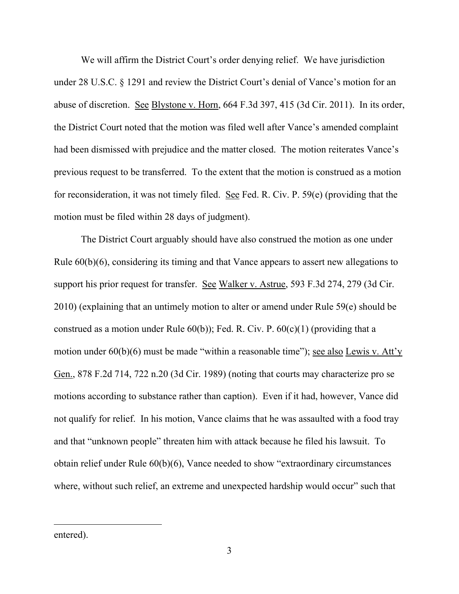We will affirm the District Court's order denying relief. We have jurisdiction under 28 U.S.C. § 1291 and review the District Court's denial of Vance's motion for an abuse of discretion. See Blystone v. Horn, 664 F.3d 397, 415 (3d Cir. 2011). In its order, the District Court noted that the motion was filed well after Vance's amended complaint had been dismissed with prejudice and the matter closed. The motion reiterates Vance's previous request to be transferred. To the extent that the motion is construed as a motion for reconsideration, it was not timely filed. See Fed. R. Civ. P. 59(e) (providing that the motion must be filed within 28 days of judgment).

The District Court arguably should have also construed the motion as one under Rule 60(b)(6), considering its timing and that Vance appears to assert new allegations to support his prior request for transfer. See Walker v. Astrue, 593 F.3d 274, 279 (3d Cir. 2010) (explaining that an untimely motion to alter or amend under Rule 59(e) should be construed as a motion under Rule  $60(b)$ ); Fed. R. Civ. P.  $60(c)(1)$  (providing that a motion under 60(b)(6) must be made "within a reasonable time"); see also Lewis v. Att'y Gen., 878 F.2d 714, 722 n.20 (3d Cir. 1989) (noting that courts may characterize pro se motions according to substance rather than caption). Even if it had, however, Vance did not qualify for relief. In his motion, Vance claims that he was assaulted with a food tray and that "unknown people" threaten him with attack because he filed his lawsuit. To obtain relief under Rule 60(b)(6), Vance needed to show "extraordinary circumstances where, without such relief, an extreme and unexpected hardship would occur" such that

entered).